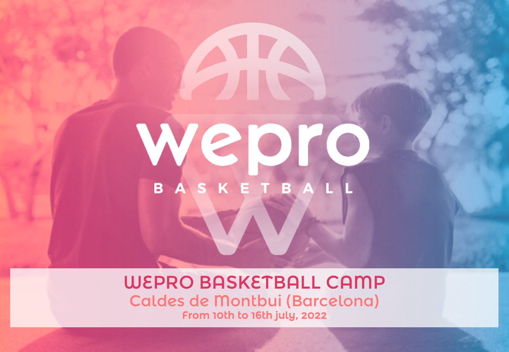# Webro BASKETBA

WEPRO BASKETBALL CAMP Caldes de Montbui (Barcelona) From 10th to 16th july, 2022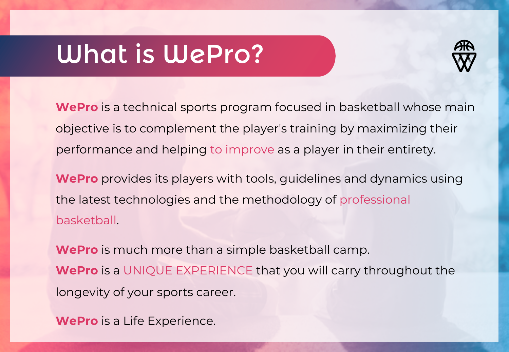### What is WePro?



**WePro** is a technical sports program focused in basketball whose main objective is to complement the player's training by maximizing their performance and helping to improve as a player in their entirety.

**WePro** provides its players with tools, guidelines and dynamics using the latest technologies and the methodology of professional basketball.

**WePro** is much more than a simple basketball camp. **WePro** is a UNIQUE EXPERIENCE that you will carry throughout the longevity of your sports career.

**WePro** is a Life Experience.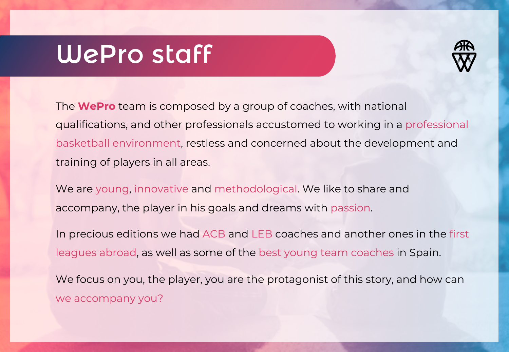#### WePro staff



The **WePro** team is composed by a group of coaches, with national qualifications, and other professionals accustomed to working in a professional basketball environment, restless and concerned about the development and training of players in all areas.

We are young, innovative and methodological. We like to share and accompany, the player in his goals and dreams with passion.

In precious editions we had ACB and LEB coaches and another ones in the first leagues abroad, as well as some of the best young team coaches in Spain.

We focus on you, the player, you are the protagonist of this story, and how can we accompany you?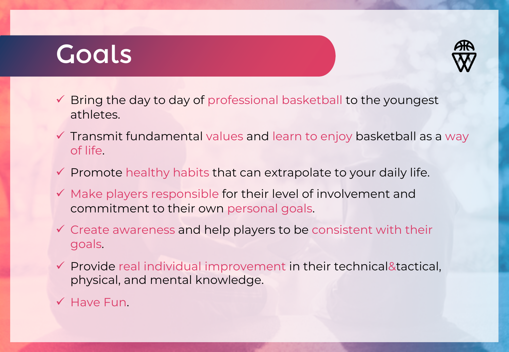#### Goals



- $\checkmark$  Bring the day to day of professional basketball to the youngest athletes.
- $\checkmark$  Transmit fundamental values and learn to enjoy basketball as a way of life.
- $\checkmark$  Promote healthy habits that can extrapolate to your daily life.
- $\checkmark$  Make players responsible for their level of involvement and commitment to their own personal goals.
- $\checkmark$  Create awareness and help players to be consistent with their goals.
- $\checkmark$  Provide real individual improvement in their technical&tactical, physical, and mental knowledge.
- $\checkmark$  Have Fun.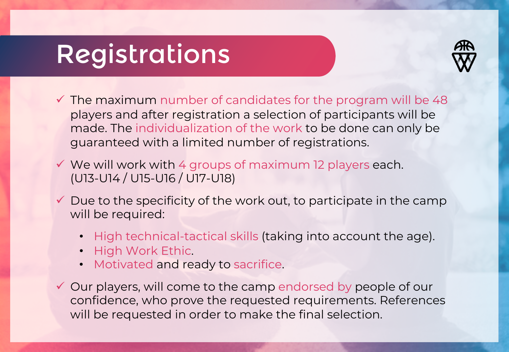### Registrations



- $\checkmark$  The maximum number of candidates for the program will be 48 players and after registration a selection of participants will be made. The individualization of the work to be done can only be guaranteed with a limited number of registrations.
- $\checkmark$  We will work with 4 groups of maximum 12 players each. (U13-U14 / U15-U16 / U17-U18)
- $\checkmark$  Due to the specificity of the work out, to participate in the camp will be required:
	- High technical-tactical skills (taking into account the age).
	- High Work Ethic.
	- Motivated and ready to sacrifice.
- $\checkmark$  Our players, will come to the camp endorsed by people of our confidence, who prove the requested requirements. References will be requested in order to make the final selection.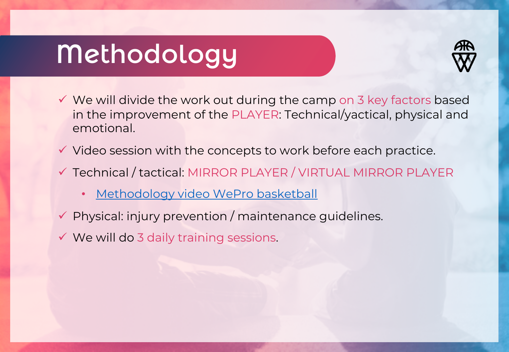### Methodology



- $\checkmark$  We will divide the work out during the camp on 3 key factors based in the improvement of the PLAYER: Technical/yactical, physical and emotional.
- $\checkmark$  Video session with the concepts to work before each practice.
- ü Technical / tactical: MIRROR PLAYER / VIRTUAL MIRROR PLAYER
	- [Methodology video WePro](https://www.youtube.com/watch?v=xfjlcQoqV2g) basketball
- $\checkmark$  Physical: injury prevention / maintenance guidelines.
- $\checkmark$  We will do 3 daily training sessions.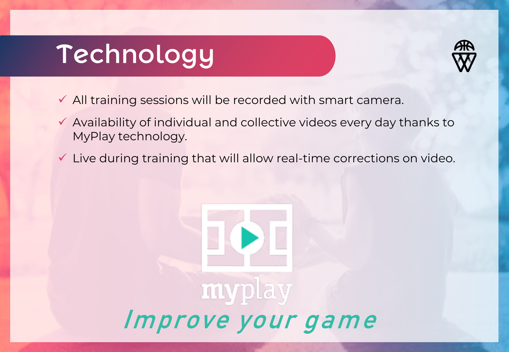# Technology



- $\checkmark$  All training sessions will be recorded with smart camera.
- $\checkmark$  Availability of individual and collective videos every day thanks to MyPlay technology.
- $\checkmark$  Live during training that will allow real-time corrections on video.

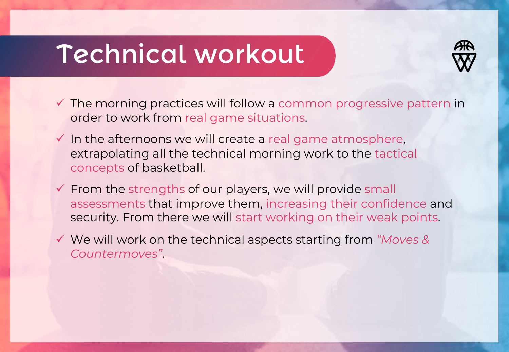### Technical workout



- $\checkmark$  The morning practices will follow a common progressive pattern in order to work from real game situations.
- $\checkmark$  In the afternoons we will create a real game atmosphere, extrapolating all the technical morning work to the tactical concepts of basketball.
- $\checkmark$  From the strengths of our players, we will provide small assessments that improve them, increasing their confidence and security. From there we will start working on their weak points.
- ü We will work on the technical aspects starting from *"Moves & Countermoves"*.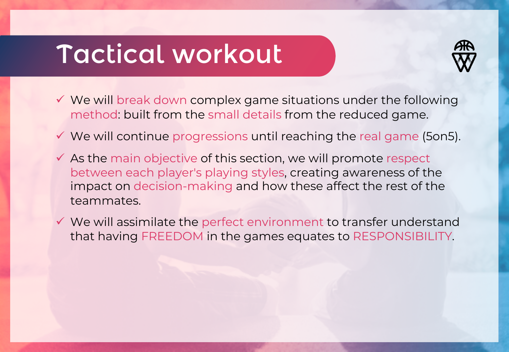#### Tactical workout



- $\checkmark$  We will break down complex game situations under the following method: built from the small details from the reduced game.
- $\checkmark$  We will continue progressions until reaching the real game (5on5).
- $\checkmark$  As the main objective of this section, we will promote respect between each player's playing styles, creating awareness of the impact on decision-making and how these affect the rest of the teammates.
- $\checkmark$  We will assimilate the perfect environment to transfer understand that having FREEDOM in the games equates to RESPONSIBILITY.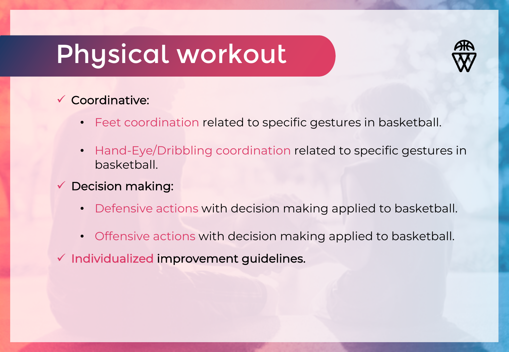### Physical workout



#### $\checkmark$  Coordinative:

- Feet coordination related to specific gestures in basketball.
- Hand-Eye/Dribbling coordination related to specific gestures in basketball.
- $\checkmark$  Decision making:
	- Defensive actions with decision making applied to basketball.
	- Offensive actions with decision making applied to basketball.
- $\checkmark$  Individualized improvement guidelines.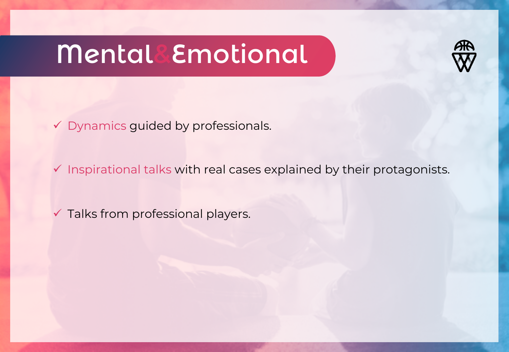# Mental&Emotional



 $\checkmark$  Dynamics guided by professionals.

 $\checkmark$  Inspirational talks with real cases explained by their protagonists.

 $\checkmark$  Talks from professional players.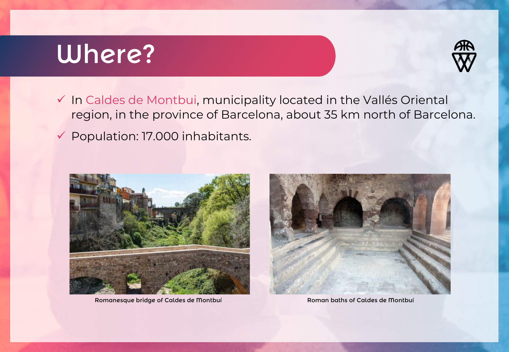### Where?



- $\checkmark$  In Caldes de Montbui, municipality located in the Vallés Oriental region, in the province of Barcelona, about 35 km north of Barcelona.
- $\checkmark$  Population: 17.000 inhabitants.



Romanesque bridge of Caldes de Montbuí Roman baths of Caldes de Montbuí

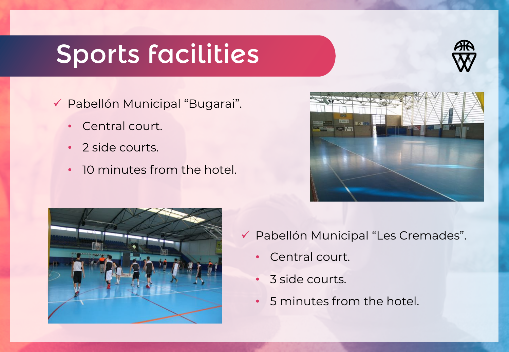### Sports facilities



ü Pabellón Municipal "Bugarai".

- Central court.
- 2 side courts.
- 10 minutes from the hotel.





- ü Pabellón Municipal "Les Cremades".
	- Central court.
	- 3 side courts.
	- 5 minutes from the hotel.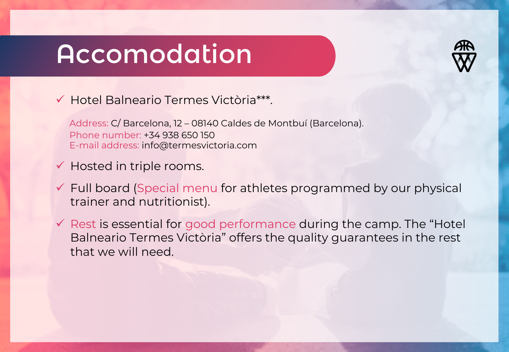#### Accomodation



#### **▼ Hotel Balneario Termes Victòria\*\*\*.**

Address: C/ Barcelona, 12 – 08140 Caldes de Montbuí (Barcelona). Phone number: +34 938 650 150 E-mail address: info@termesvictoria.com

- $\checkmark$  Hosted in triple rooms.
- $\checkmark$  Full board (Special menu for athletes programmed by our physical trainer and nutritionist).
- $\checkmark$  Rest is essential for good performance during the camp. The "Hotel Balneario Termes Victòria" offers the quality guarantees in the rest that we will need.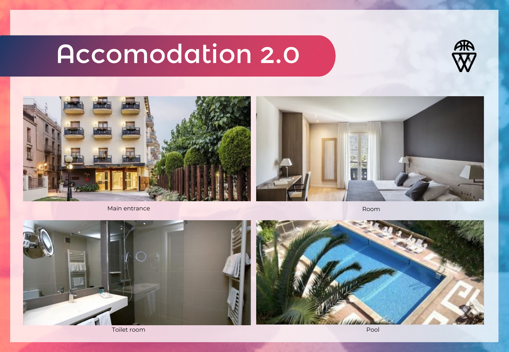## Accomodation 2.0









Toilet room Pool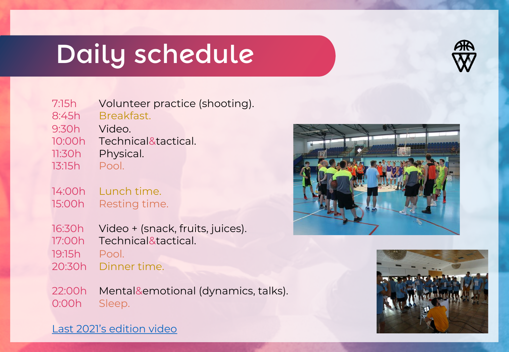### Daily schedule



7:15h Volunteer practice (shooting).

8:45h Breakfast.

- 9:30h Video.
- 10:00h Technical&tactical.
- 11:30h Physical.
- 13:15h Pool.
- 14:00h Lunch time. 15:00h Resting time.
- 16:30h Video + (snack, fruits, juices).
- 17:00h Technical&tactical.
- 19:15h Pool.
- 20:30h Dinner time.
- 22:00h Mental&emotional (dynamics, talks). 0:00h Sleep.





[Last 2021's edition video](https://www.youtube.com/watch?v=HEQpZX_Dgfs)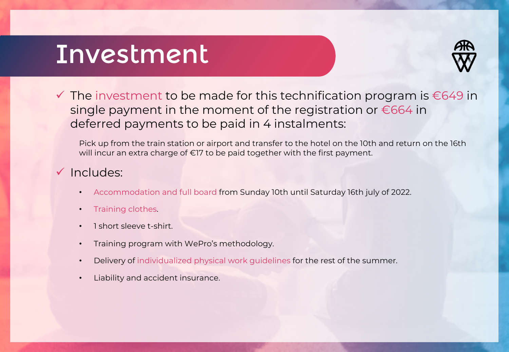#### Investment



 $\checkmark$  The investment to be made for this technification program is €649 in single payment in the moment of the registration or  $\epsilon$ 664 in deferred payments to be paid in 4 instalments:

Pick up from the train station or airport and transfer to the hotel on the 10th and return on the 16th will incur an extra charge of €17 to be paid together with the first payment.

#### $\checkmark$  Includes:

- Accommodation and full board from Sunday 10th until Saturday 16th july of 2022.
- Training clothes.
- 1 short sleeve t-shirt.
- Training program with WePro's methodology.
- Delivery of individualized physical work guidelines for the rest of the summer.
- Liability and accident insurance.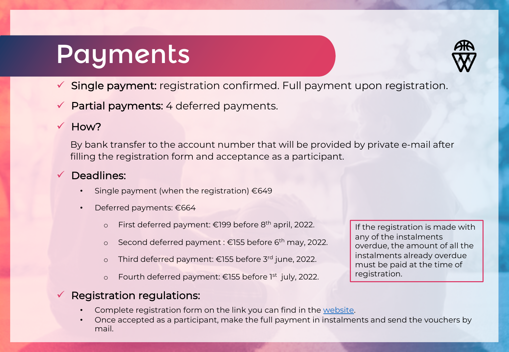#### Payments



- $\checkmark$  Single payment: registration confirmed. Full payment upon registration.
- Partial payments: 4 deferred payments.

#### $V$  How?

By bank transfer to the account number that will be provided by private e-mail after filling the registration form and acceptance as a participant.

#### $\checkmark$  Deadlines:

- Single payment (when the registration)  $€649$
- Deferred payments: €664
	- o First deferred payment: €199 before  $8<sup>th</sup>$  april, 2022.
	- o Second deferred payment : €155 before 6<sup>th</sup> may, 2022.
	- o Third deferred payment: €155 before 3rd june, 2022.
	- o Fourth deferred payment: €155 before 1st july, 2022.

#### $\checkmark$  Registration regulations:

- Complete registration form on the link you can find in the [website.](https://www.weprobasketball.com/eng)
- Once accepted as a participant, make the full payment in instalments and send the vouchers by mail.

If the registration is made with any of the instalments overdue, the amount of all the instalments already overdue must be paid at the time of registration.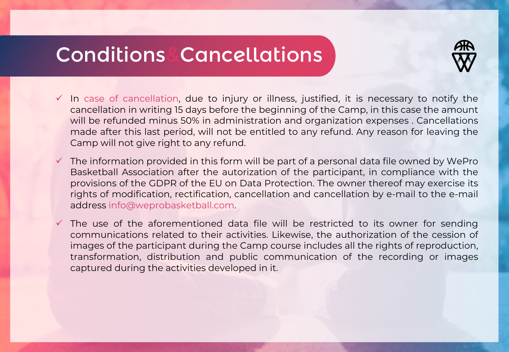#### Conditions&Cancellations



- $\checkmark$  In case of cancellation, due to injury or illness, justified, it is necessary to notify the cancellation in writing 15 days before the beginning of the Camp, in this case the amount will be refunded minus 50% in administration and organization expenses . Cancellations made after this last period, will not be entitled to any refund. Any reason for leaving the Camp will not give right to any refund.
- $\checkmark$  The information provided in this form will be part of a personal data file owned by WePro Basketball Association after the autorization of the participant, in compliance with the provisions of the GDPR of the EU on Data Protection. The owner thereof may exercise its rights of modification, rectification, cancellation and cancellation by e-mail to the e-mail address info@weprobasketball.com.
- $\checkmark$  The use of the aforementioned data file will be restricted to its owner for sending communications related to their activities. Likewise, the authorization of the cession of images of the participant during the Camp course includes all the rights of reproduction, transformation, distribution and public communication of the recording or images captured during the activities developed in it.